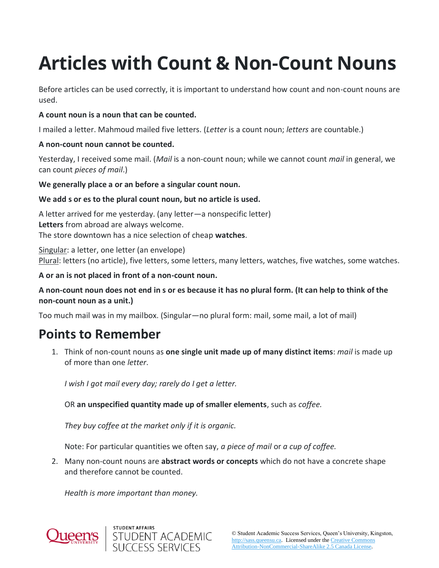# **Articles with Count & Non-Count Nouns**

Before articles can be used correctly, it is important to understand how count and non-count nouns are used.

### **A count noun is a noun that can be counted.**

I mailed a letter. Mahmoud mailed five letters. (*Letter* is a count noun; *letters* are countable.)

#### **A non-count noun cannot be counted.**

Yesterday, I received some mail. (*Mail* is a non-count noun; while we cannot count *mail* in general, we can count *pieces of mail*.)

#### **We generally place a or an before a singular count noun.**

#### **We add s or es to the plural count noun, but no article is used.**

A letter arrived for me yesterday. (any letter—a nonspecific letter) **Letters** from abroad are always welcome. The store downtown has a nice selection of cheap **watches**.

Singular: a letter, one letter (an envelope) Plural: letters (no article), five letters, some letters, many letters, watches, five watches, some watches.

#### **A or an is not placed in front of a non-count noun.**

### **A non-count noun does not end in s or es because it has no plural form. (It can help to think of the non-count noun as a unit.)**

Too much mail was in my mailbox. (Singular—no plural form: mail, some mail, a lot of mail)

## **Points to Remember**

1. Think of non-count nouns as **one single unit made up of many distinct items**: *mail* is made up of more than one *letter*.

*I wish I got mail every day; rarely do I get a letter.*

OR **an unspecified quantity made up of smaller elements**, such as *coffee.*

*They buy coffee at the market only if it is organic.*

Note: For particular quantities we often say, *a piece of mail* or *a cup of coffee.*

2. Many non-count nouns are **abstract words or concepts** which do not have a concrete shape and therefore cannot be counted.

*Health is more important than money.*



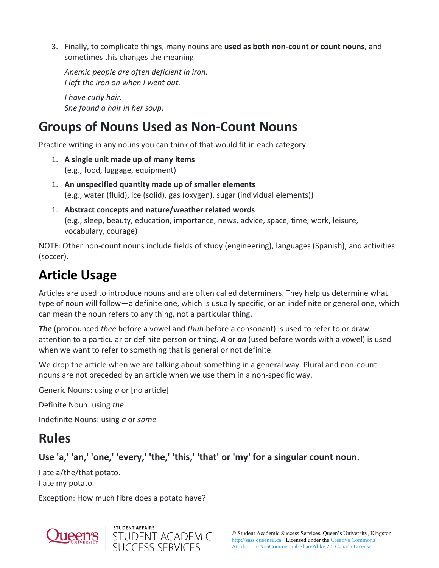3. Finally, to complicate things, many nouns are **used as both non-count or count nouns**, and sometimes this changes the meaning.

*Anemic people are often deficient in iron. I left the iron on when I went out.*

*I have curly hair. She found a hair in her soup.*

# **Groups of Nouns Used as Non-Count Nouns**

Practice writing in any nouns you can think of that would fit in each category:

- 1. **A single unit made up of many items** (e.g., food, luggage, equipment)
- 1. **An unspecified quantity made up of smaller elements** (e.g., water (fluid), ice (solid), gas (oxygen), sugar (individual elements))
- 1. **Abstract concepts and nature/weather related words** (e.g., sleep, beauty, education, importance, news, advice, space, time, work, leisure, vocabulary, courage)

NOTE: Other non-count nouns include fields of study (engineering), languages (Spanish), and activities (soccer).

# **Article Usage**

Articles are used to introduce nouns and are often called determiners. They help us determine what type of noun will follow—a definite one, which is usually specific, or an indefinite or general one, which can mean the noun refers to any thing, not a particular thing.

*The* (pronounced *thee* before a vowel and *thuh* before a consonant) is used to refer to or draw attention to a particular or definite person or thing. *A* or *an* (used before words with a vowel) is used when we want to refer to something that is general or not definite.

We drop the article when we are talking about something in a general way. Plural and non-count nouns are not preceded by an article when we use them in a non-specific way.

Generic Nouns: using *a* or [no article]

Definite Noun: using *the*

Indefinite Nouns: using *a* or *some*

# **Rules**

### **Use 'a,' 'an,' 'one,' 'every,' 'the,' 'this,' 'that' or 'my' for a singular count noun.**

I ate a/the/that potato. I ate my potato.

Exception: How much fibre does a potato have?